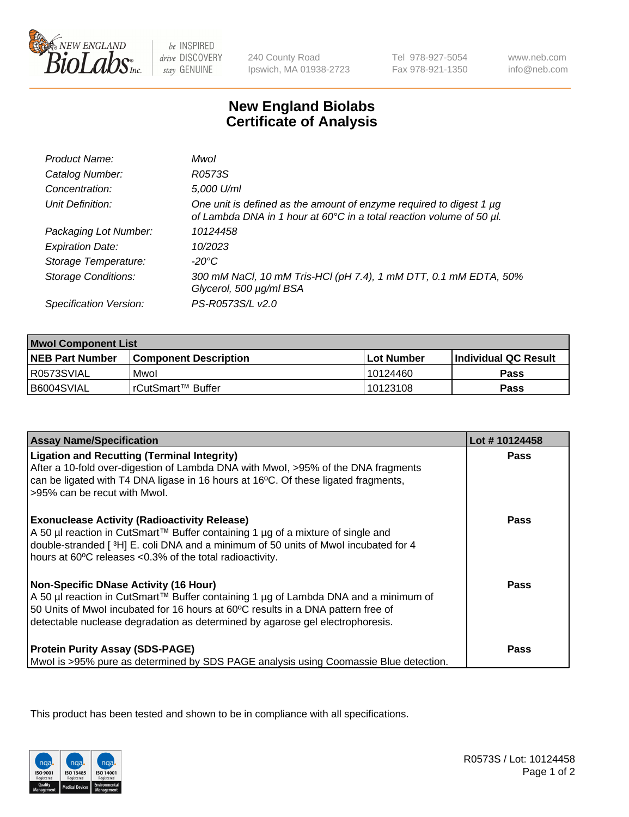

be INSPIRED drive DISCOVERY stay GENUINE

240 County Road Ipswich, MA 01938-2723 Tel 978-927-5054 Fax 978-921-1350

www.neb.com info@neb.com

## **New England Biolabs Certificate of Analysis**

| Product Name:              | Mwol                                                                                                                                             |
|----------------------------|--------------------------------------------------------------------------------------------------------------------------------------------------|
| Catalog Number:            | R0573S                                                                                                                                           |
| Concentration:             | 5,000 U/ml                                                                                                                                       |
| Unit Definition:           | One unit is defined as the amount of enzyme required to digest 1 $\mu$ g<br>of Lambda DNA in 1 hour at 60°C in a total reaction volume of 50 µl. |
| Packaging Lot Number:      | 10124458                                                                                                                                         |
| <b>Expiration Date:</b>    | 10/2023                                                                                                                                          |
| Storage Temperature:       | $-20^{\circ}$ C                                                                                                                                  |
| <b>Storage Conditions:</b> | 300 mM NaCl, 10 mM Tris-HCl (pH 7.4), 1 mM DTT, 0.1 mM EDTA, 50%<br>Glycerol, 500 µg/ml BSA                                                      |
| Specification Version:     | PS-R0573S/L v2.0                                                                                                                                 |

| <b>Mwol Component List</b> |                         |              |                             |  |
|----------------------------|-------------------------|--------------|-----------------------------|--|
| <b>NEB Part Number</b>     | l Component Description | l Lot Number | <b>Individual QC Result</b> |  |
| I R0573SVIAL               | Mwol                    | 10124460     | Pass                        |  |
| B6004SVIAL                 | l rCutSmart™ Buffer_    | 10123108     | Pass                        |  |

| <b>Assay Name/Specification</b>                                                                                                                                                                                                                                                                          | Lot #10124458 |
|----------------------------------------------------------------------------------------------------------------------------------------------------------------------------------------------------------------------------------------------------------------------------------------------------------|---------------|
| <b>Ligation and Recutting (Terminal Integrity)</b><br>After a 10-fold over-digestion of Lambda DNA with Mwol, >95% of the DNA fragments<br>can be ligated with T4 DNA ligase in 16 hours at 16°C. Of these ligated fragments,<br>>95% can be recut with Mwol.                                            | <b>Pass</b>   |
| <b>Exonuclease Activity (Radioactivity Release)</b><br>A 50 µl reaction in CutSmart™ Buffer containing 1 µg of a mixture of single and<br>double-stranded [3H] E. coli DNA and a minimum of 50 units of Mwol incubated for 4<br>hours at 60°C releases <0.3% of the total radioactivity.                 | Pass          |
| <b>Non-Specific DNase Activity (16 Hour)</b><br>A 50 µl reaction in CutSmart™ Buffer containing 1 µg of Lambda DNA and a minimum of<br>50 Units of Mwol incubated for 16 hours at 60°C results in a DNA pattern free of<br>detectable nuclease degradation as determined by agarose gel electrophoresis. | Pass          |
| <b>Protein Purity Assay (SDS-PAGE)</b><br>Mwol is >95% pure as determined by SDS PAGE analysis using Coomassie Blue detection.                                                                                                                                                                           | Pass          |

This product has been tested and shown to be in compliance with all specifications.